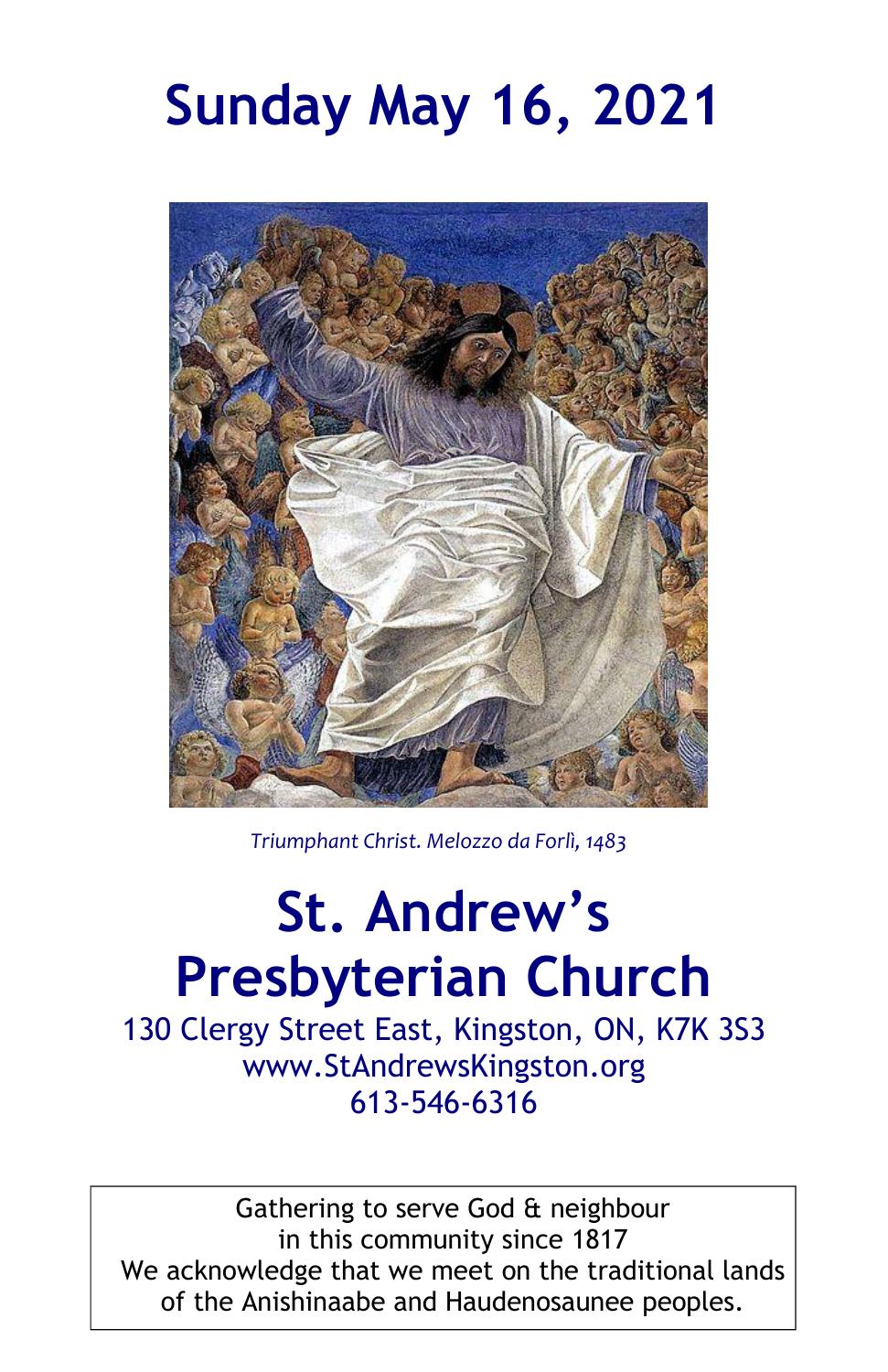# **Sunday May 16, 2021**



*Triumphant Christ. Melozzo da Forlì, 1483*

# **St. Andrew's Presbyterian Church**

130 Clergy Street East, Kingston, ON, K7K 3S3 www.StAndrewsKingston.org 613-546-6316

Gathering to serve God & neighbour in this community since 1817 We acknowledge that we meet on the traditional lands of the Anishinaabe and Haudenosaunee peoples.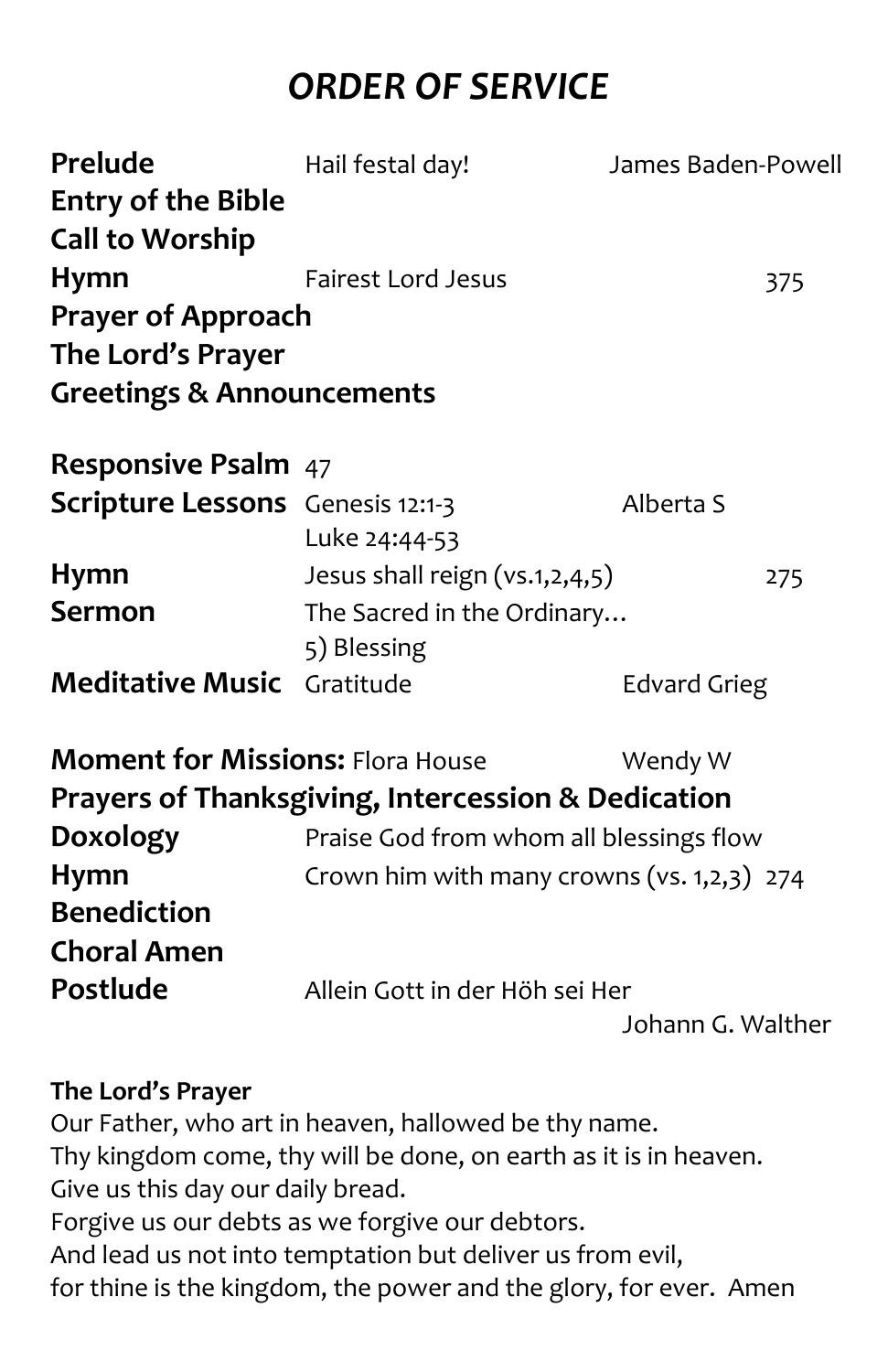## *ORDER OF SERVICE*

| Prelude                                 | Hail festal day!                          | James Baden-Powell |     |
|-----------------------------------------|-------------------------------------------|--------------------|-----|
| <b>Entry of the Bible</b>               |                                           |                    |     |
| <b>Call to Worship</b>                  |                                           |                    |     |
| <b>Hymn</b>                             | Fairest Lord Jesus                        |                    | 375 |
| <b>Prayer of Approach</b>               |                                           |                    |     |
| The Lord's Prayer                       |                                           |                    |     |
| <b>Greetings &amp; Announcements</b>    |                                           |                    |     |
| <b>Responsive Psalm</b> 47              |                                           |                    |     |
| <b>Scripture Lessons</b> Genesis 12:1-3 | Luke 24:44-53                             | Alberta S          |     |
| <b>Hymn</b>                             | Jesus shall reign (vs.1,2,4,5)            |                    | 275 |
| Sermon                                  | The Sacred in the Ordinary<br>5) Blessing |                    |     |
| <b>Meditative Music</b> Gratitude       |                                           | Edvard Grieg       |     |

|                    | <b>Moment for Missions: Flora House</b>                       | Wendy W           |  |
|--------------------|---------------------------------------------------------------|-------------------|--|
|                    | <b>Prayers of Thanksgiving, Intercession &amp; Dedication</b> |                   |  |
| Doxology           | Praise God from whom all blessings flow                       |                   |  |
| <b>Hymn</b>        | Crown him with many crowns (vs. 1,2,3) 274                    |                   |  |
| <b>Benediction</b> |                                                               |                   |  |
| <b>Choral Amen</b> |                                                               |                   |  |
| Postlude           | Allein Gott in der Höh sei Her                                |                   |  |
|                    |                                                               | Johann G. Walther |  |

#### **The Lord's Prayer**

Our Father, who art in heaven, hallowed be thy name. Thy kingdom come, thy will be done, on earth as it is in heaven. Give us this day our daily bread. Forgive us our debts as we forgive our debtors. And lead us not into temptation but deliver us from evil, for thine is the kingdom, the power and the glory, for ever. Amen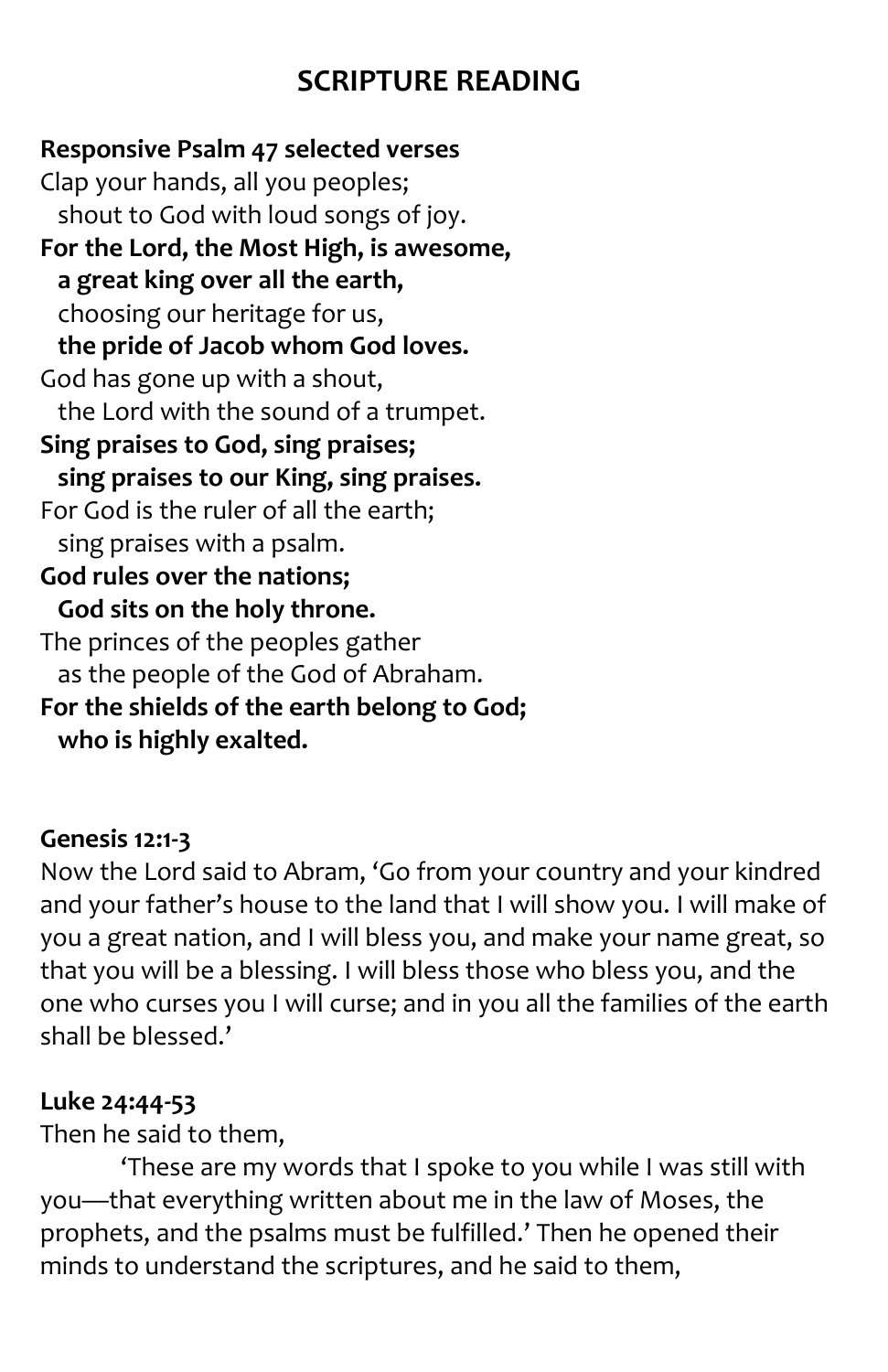### **SCRIPTURE READING**

**Responsive Psalm 47 selected verses** Clap your hands, all you peoples; shout to God with loud songs of joy. **For the Lord, the Most High, is awesome, a great king over all the earth,** choosing our heritage for us, **the pride of Jacob whom God loves.** God has gone up with a shout, the Lord with the sound of a trumpet. **Sing praises to God, sing praises; sing praises to our King, sing praises.** For God is the ruler of all the earth; sing praises with a psalm. **God rules over the nations; God sits on the holy throne.** The princes of the peoples gather as the people of the God of Abraham. **For the shields of the earth belong to God; who is highly exalted.**

#### **Genesis 12:1-3**

Now the Lord said to Abram, 'Go from your country and your kindred and your father's house to the land that I will show you. I will make of you a great nation, and I will bless you, and make your name great, so that you will be a blessing. I will bless those who bless you, and the one who curses you I will curse; and in you all the families of the earth shall be blessed.'

#### **Luke 24:44-53**

Then he said to them,

'These are my words that I spoke to you while I was still with you—that everything written about me in the law of Moses, the prophets, and the psalms must be fulfilled.' Then he opened their minds to understand the scriptures, and he said to them,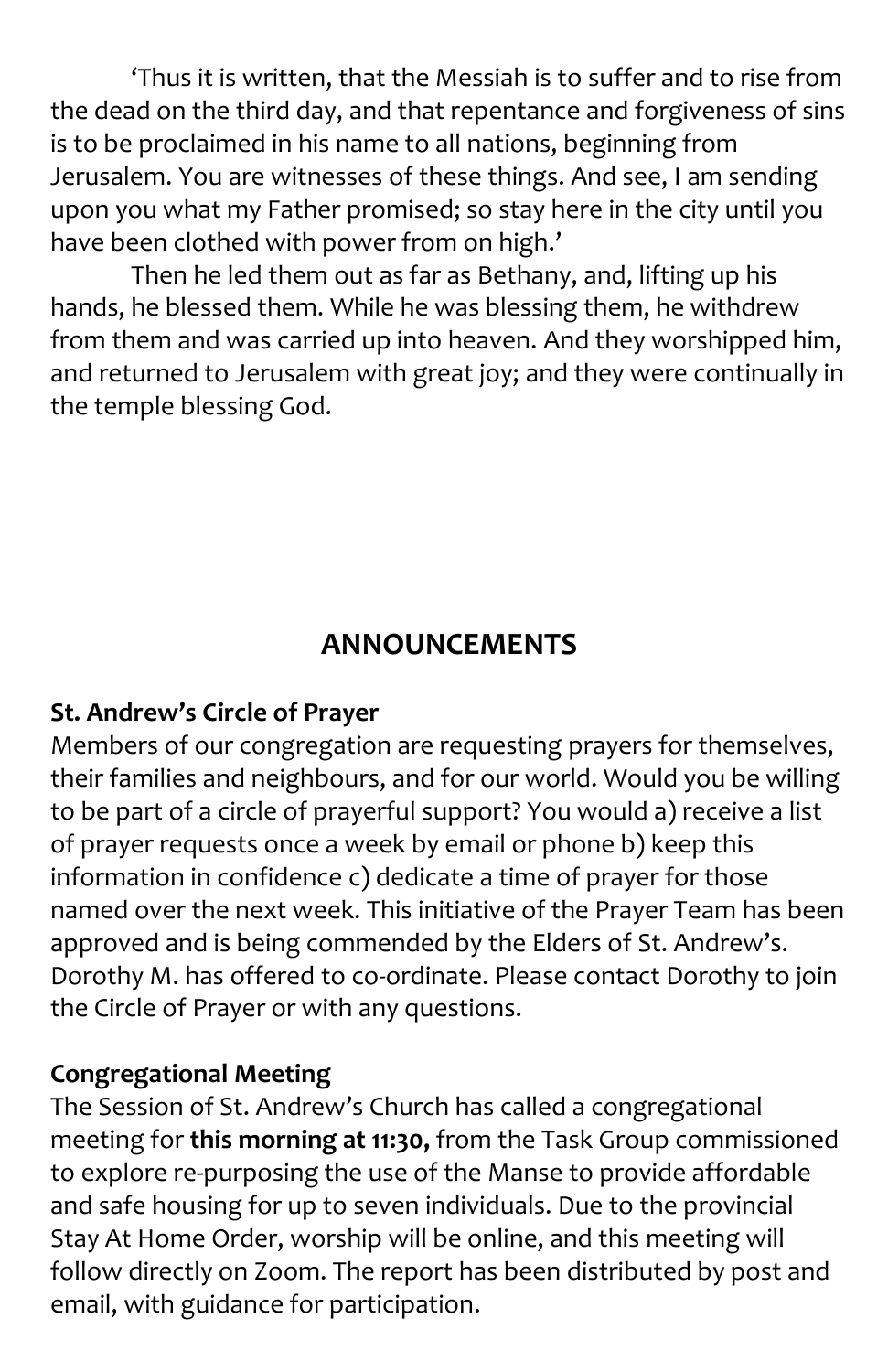'Thus it is written, that the Messiah is to suffer and to rise from the dead on the third day, and that repentance and forgiveness of sins is to be proclaimed in his name to all nations, beginning from Jerusalem. You are witnesses of these things. And see, I am sending upon you what my Father promised; so stay here in the city until you have been clothed with power from on high.'

Then he led them out as far as Bethany, and, lifting up his hands, he blessed them. While he was blessing them, he withdrew from them and was carried up into heaven. And they worshipped him, and returned to Jerusalem with great joy; and they were continually in the temple blessing God.

### **ANNOUNCEMENTS**

#### **St. Andrew's Circle of Prayer**

Members of our congregation are requesting prayers for themselves, their families and neighbours, and for our world. Would you be willing to be part of a circle of prayerful support? You would a) receive a list of prayer requests once a week by email or phone b) keep this information in confidence c) dedicate a time of prayer for those named over the next week. This initiative of the Prayer Team has been approved and is being commended by the Elders of St. Andrew's. Dorothy M. has offered to co-ordinate. Please contact Dorothy to join the Circle of Prayer or with any questions.

#### **Congregational Meeting**

The Session of St. Andrew's Church has called a congregational meeting for **this morning at 11:30,** from the Task Group commissioned to explore re-purposing the use of the Manse to provide affordable and safe housing for up to seven individuals. Due to the provincial Stay At Home Order, worship will be online, and this meeting will follow directly on Zoom. The report has been distributed by post and email, with guidance for participation.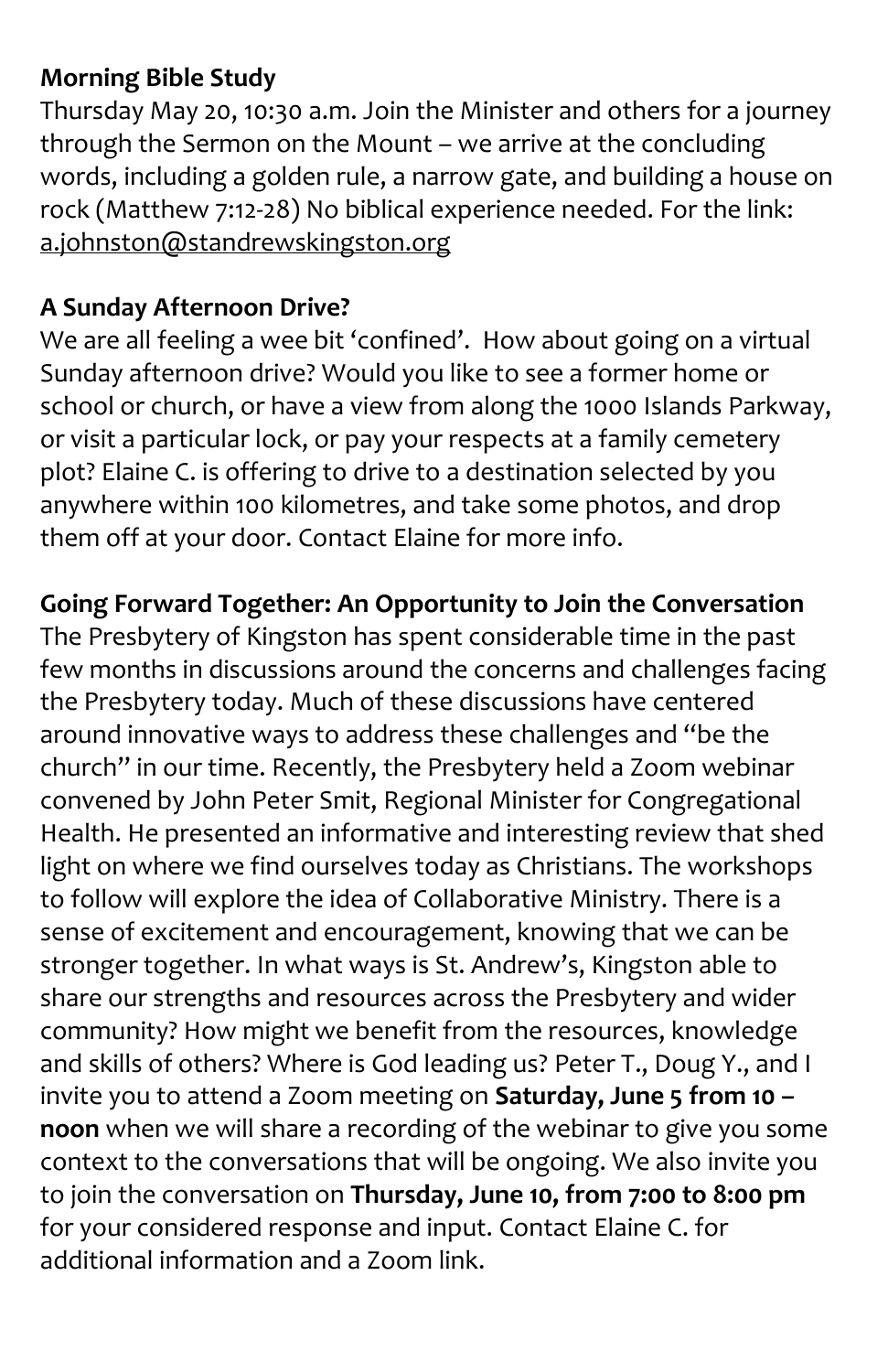#### **Morning Bible Study**

Thursday May 20, 10:30 a.m. Join the Minister and others for a journey through the Sermon on the Mount – we arrive at the concluding words, including a golden rule, a narrow gate, and building a house on rock (Matthew 7:12-28) No biblical experience needed. For the link: [a.johnston@standrewskingston.org](mailto:a.johnston@standrewskingston.org)

#### **A Sunday Afternoon Drive?**

We are all feeling a wee bit 'confined'. How about going on a virtual Sunday afternoon drive? Would you like to see a former home or school or church, or have a view from along the 1000 Islands Parkway, or visit a particular lock, or pay your respects at a family cemetery plot? Elaine C. is offering to drive to a destination selected by you anywhere within 100 kilometres, and take some photos, and drop them off at your door. Contact Elaine for more info.

#### **Going Forward Together: An Opportunity to Join the Conversation**

The Presbytery of Kingston has spent considerable time in the past few months in discussions around the concerns and challenges facing the Presbytery today. Much of these discussions have centered around innovative ways to address these challenges and "be the church" in our time. Recently, the Presbytery held a Zoom webinar convened by John Peter Smit, Regional Minister for Congregational Health. He presented an informative and interesting review that shed light on where we find ourselves today as Christians. The workshops to follow will explore the idea of Collaborative Ministry. There is a sense of excitement and encouragement, knowing that we can be stronger together. In what ways is St. Andrew's, Kingston able to share our strengths and resources across the Presbytery and wider community? How might we benefit from the resources, knowledge and skills of others? Where is God leading us? Peter T., Doug Y., and I invite you to attend a Zoom meeting on **Saturday, June 5 from 10 – noon** when we will share a recording of the webinar to give you some context to the conversations that will be ongoing. We also invite you to join the conversation on **Thursday, June 10, from 7:00 to 8:00 pm** for your considered response and input. Contact Elaine C. for additional information and a Zoom link.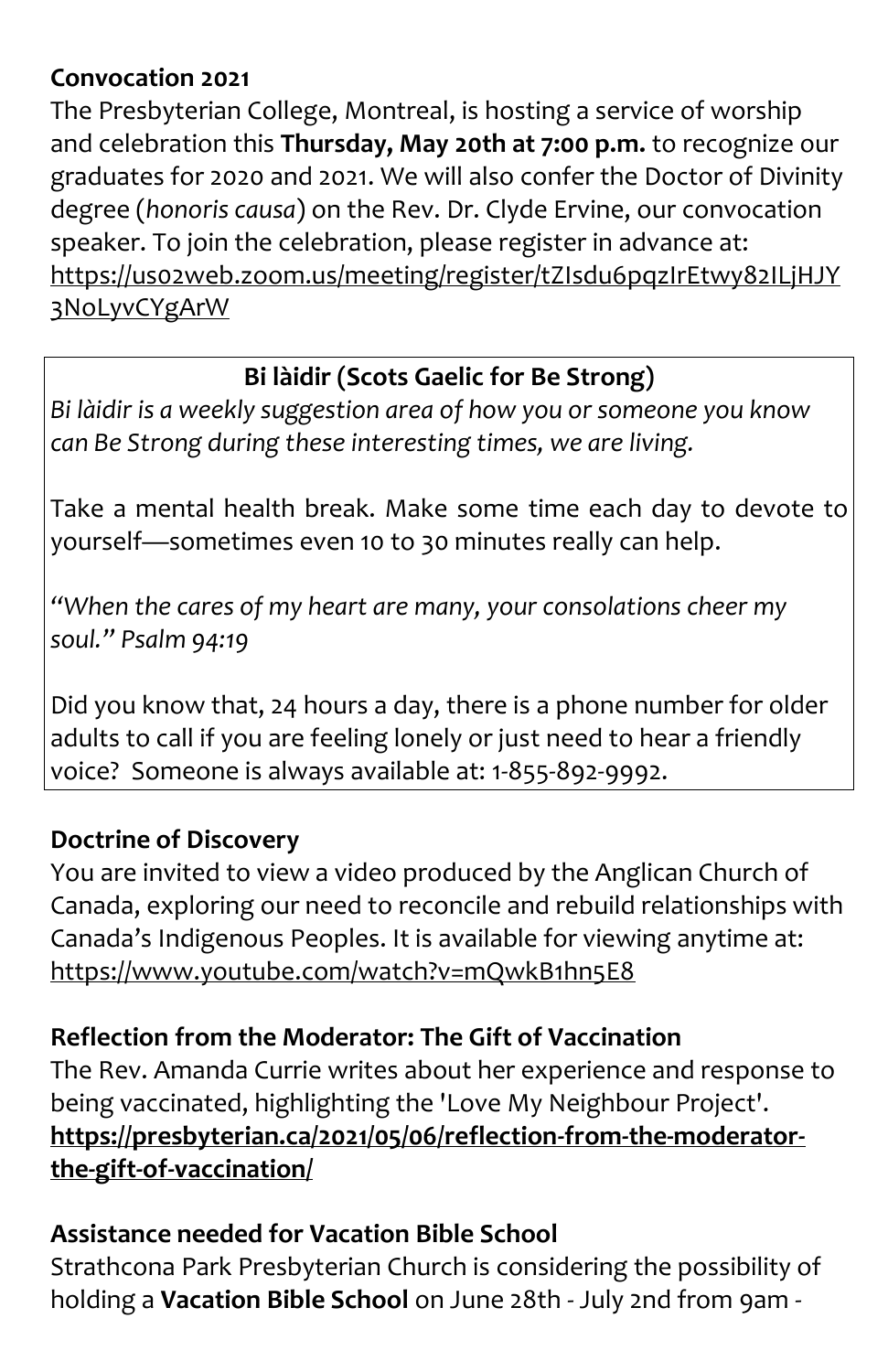#### **Convocation 2021**

The Presbyterian College, Montreal, is hosting a service of worship and celebration this **Thursday, May 20th at 7:00 p.m.** to recognize our graduates for 2020 and 2021. We will also confer the Doctor of Divinity degree (*honoris causa*) on the Rev. Dr. Clyde Ervine, our convocation speaker. To join the celebration, please register in advance at: [https://us02web.zoom.us/meeting/register/tZIsdu6pqzIrEtwy82ILjHJY](https://us02web.zoom.us/meeting/register/tZIsdu6pqzIrEtwy82ILjHJY3NoLyvCYgArW) [3NoLyvCYgArW](https://us02web.zoom.us/meeting/register/tZIsdu6pqzIrEtwy82ILjHJY3NoLyvCYgArW)

#### **Bi làidir (Scots Gaelic for Be Strong)**

*Bi làidir is a weekly suggestion area of how you or someone you know can Be Strong during these interesting times, we are living.*

Take a mental health break. Make some time each day to devote to yourself—sometimes even 10 to 30 minutes really can help.

*"When the cares of my heart are many, your consolations cheer my soul." Psalm 94:19*

Did you know that, 24 hours a day, there is a phone number for older adults to call if you are feeling lonely or just need to hear a friendly voice? Someone is always available at: 1-855-892-9992.

#### **Doctrine of Discovery**

You are invited to view a video produced by the Anglican Church of Canada, exploring our need to reconcile and rebuild relationships with Canada's Indigenous Peoples. It is available for viewing anytime at: <https://www.youtube.com/watch?v=mQwkB1hn5E8>

#### **Reflection from the Moderator: The Gift of Vaccination**

The Rev. Amanda Currie writes about her experience and response to being vaccinated, highlighting the 'Love My Neighbour Project'. **[https://presbyterian.ca/2021/05/06/reflection-from-the-moderator](https://presbyterian.ca/2021/05/06/reflection-from-the-moderator-the-gift-of-vaccination/)[the-gift-of-vaccination/](https://presbyterian.ca/2021/05/06/reflection-from-the-moderator-the-gift-of-vaccination/)**

#### **Assistance needed for Vacation Bible School**

Strathcona Park Presbyterian Church is considering the possibility of holding a **Vacation Bible School** on June 28th - July 2nd from 9am -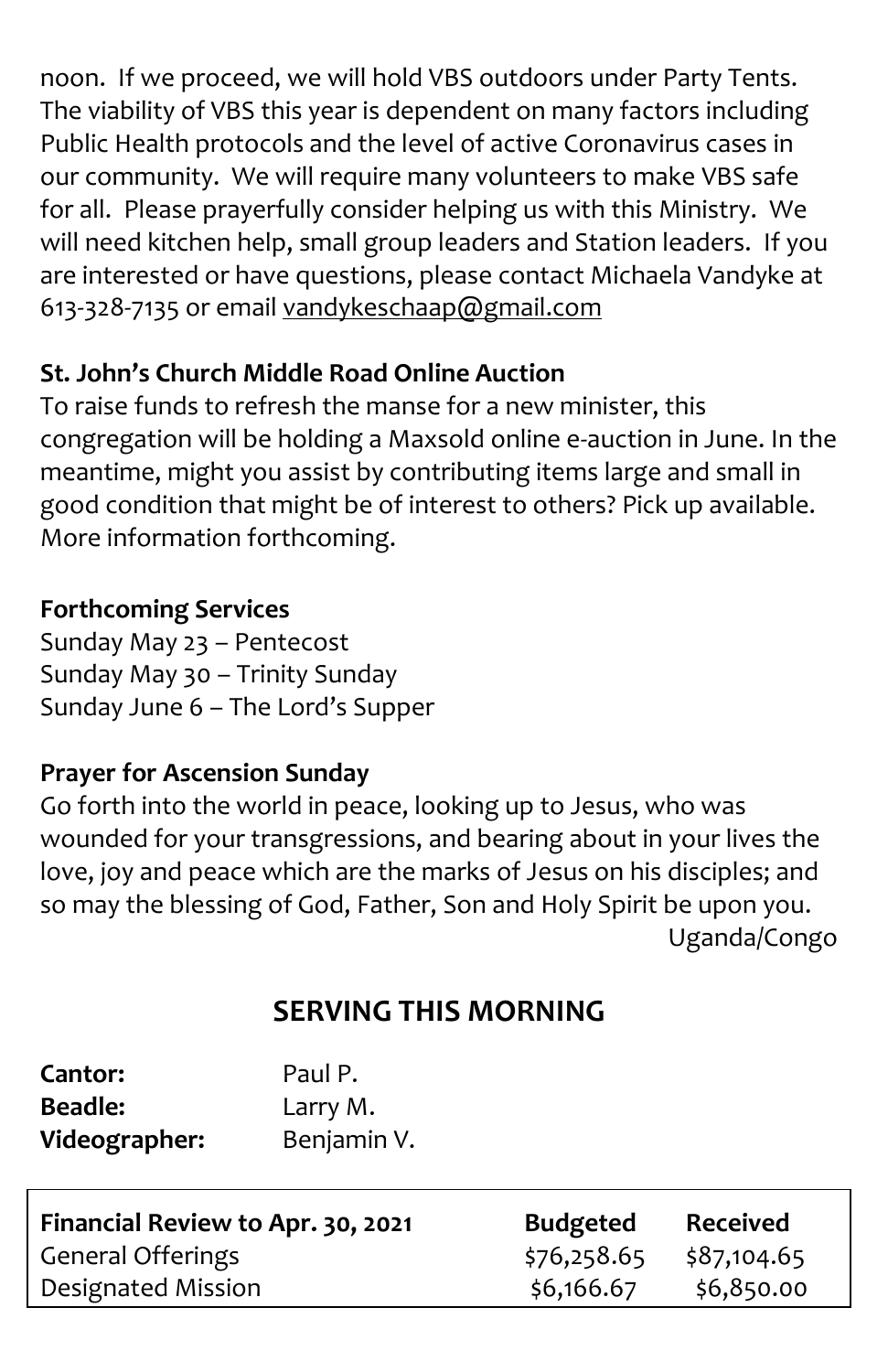noon. If we proceed, we will hold VBS outdoors under Party Tents. The viability of VBS this year is dependent on many factors including Public Health protocols and the level of active Coronavirus cases in our community. We will require many volunteers to make VBS safe for all. Please prayerfully consider helping us with this Ministry. We will need kitchen help, small group leaders and Station leaders. If you are interested or have questions, please contact Michaela Vandyke at 613-328-7135 or email [vandykeschaap@gmail.com](mailto:vandykeschaap@gmail.com)

#### **St. John's Church Middle Road Online Auction**

To raise funds to refresh the manse for a new minister, this congregation will be holding a Maxsold online e-auction in June. In the meantime, might you assist by contributing items large and small in good condition that might be of interest to others? Pick up available. More information forthcoming.

#### **Forthcoming Services**

Sunday May 23 – Pentecost Sunday May 30 – Trinity Sunday Sunday June 6 – The Lord's Supper

#### **Prayer for Ascension Sunday**

Go forth into the world in peace, looking up to Jesus, who was wounded for your transgressions, and bearing about in your lives the love, joy and peace which are the marks of Jesus on his disciples; and so may the blessing of God, Father, Son and Holy Spirit be upon you. Uganda/Congo

## **SERVING THIS MORNING**

| <b>Cantor:</b> | Paul P.     |
|----------------|-------------|
| Beadle:        | Larry M.    |
| Videographer:  | Benjamin V. |

| Financial Review to Apr. 30, 2021 | <b>Budgeted</b> | <b>Received</b> |
|-----------------------------------|-----------------|-----------------|
| <b>General Offerings</b>          | \$76,258.65     | \$87,104.65     |
| Designated Mission                | \$6,166.67      | \$6,850.00      |